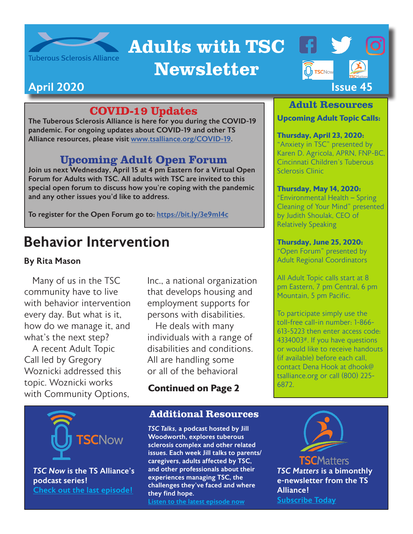

# Adults with TSC

## Newsletter



### COVID-19 Updates

The Tuberous Sclerosis Alliance is here for you during the COVID-19 pandemic. For ongoing updates about COVID-19 and other TS Alliance resources, please visit [www.tsalliance.org/COVID-19](http://www.tsalliance.org/COVID-19).

### Upcoming Adult Open Forum

Join us next Wednesday, April 15 at 4 pm Eastern for a Virtual Open Forum for Adults with TSC. All adults with TSC are invited to this special open forum to discuss how you're coping with the pandemic and any other issues you'd like to address.

To register for the Open Forum go to:<https://bit.ly/3e9mI4c>

## Behavior Intervention

#### By Rita Mason

Many of us in the TSC community have to live with behavior intervention every day. But what is it, how do we manage it, and what's the next step?

A recent Adult Topic Call led by Gregory Woznicki addressed this topic. Woznicki works with Community Options,

*TSC Now* is the TS Alliance's

**SCNow** 

[Check out the last episode!](https://tsc-now.blubrry.net/)

podcast series!

Inc., a national organization that develops housing and employment supports for persons with disabilities.

He deals with many individuals with a range of disabilities and conditions. All are handling some or all of the behavioral

**Continued on Page 2**

#### Additional Resources

*TSC Talks,* a podcast hosted by Jill Woodworth, explores tuberous sclerosis complex and other related issues. Each week Jill talks to parents/ caregivers, adults affected by TSC, and other professionals about their experiences managing TSC, the challenges they've faced and where they find hope. [Listen to the latest episode now](http://tsctalks.com/)

#### Adult Resources

#### **Upcoming Adult Topic Calls:**

**Thursday, April 23, 2020:**  "Anxiety in TSC" presented by Karen D. Agricola, APRN, FNP-BC, Cincinnati Children's Tuberous Sclerosis Clinic

#### **Thursday, May 14, 2020:**

"Environmental Health – Spring Cleaning of Your Mind" presented by Judith Shoulak, CEO of Relatively Speaking

#### **Thursday, June 25, 2020:**

"Open Forum" presented by Adult Regional Coordinators

All Adult Topic calls start at 8 pm Eastern, 7 pm Central, 6 pm Mountain, 5 pm Pacific.

To participate simply use the toll-free call-in number: 1-866- 613-5223 then enter access code: 4334003#. If you have questions or would like to receive handouts (if available) before each call, contact Dena Hook at dhook@ tsalliance.org or call (800) 225- 6872.